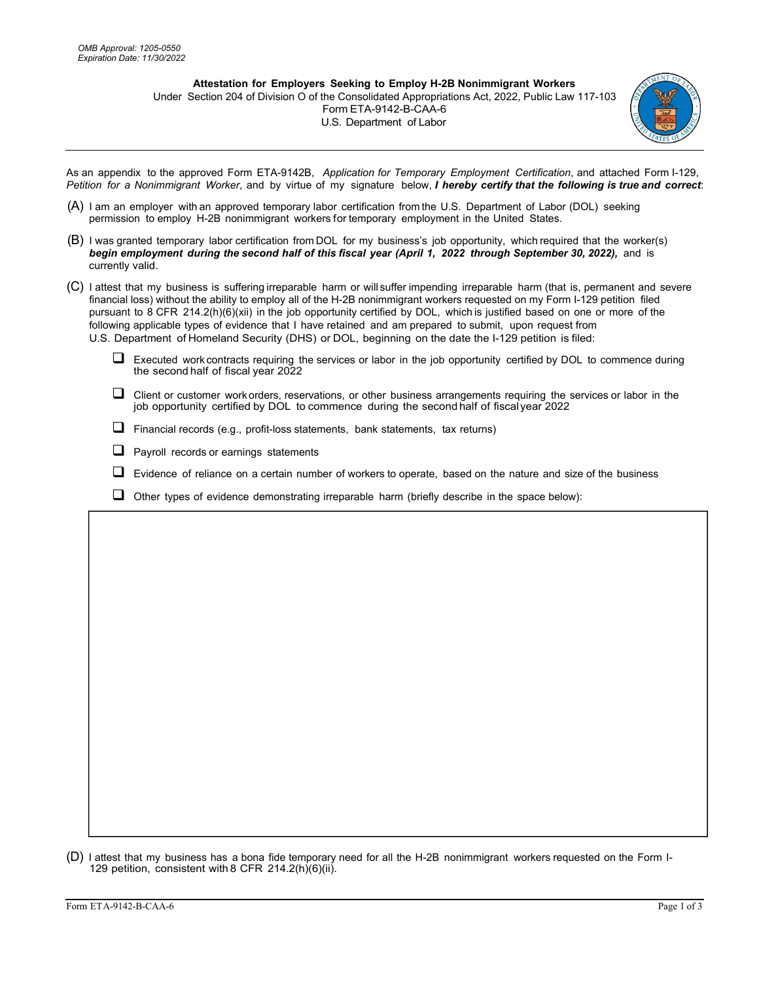**Attestation for Employers Seeking to Employ H-2B Nonimmigrant Workers** Under Section 204 of Division O of the Consolidated Appropriations Act, 2022, Public Law 117-103 Form ETA-9142-B-CAA-6 U.S. Department of Labor



As an appendix to the approved Form ETA-9142B, *Application for Temporary Employment Certification*, and attached Form I-129, *Petition for a Nonimmigrant Worker*, and by virtue of my signature below, *I hereby certify that the following is true and correct*:

- (A) I am an employer with an approved temporary labor certification from the U.S. Department of Labor (DOL) seeking permission to employ H-2B nonimmigrant workers for temporary employment in the United States.
- (B) I was granted temporary labor certification from DOL for my business's job opportunity, which required that the worker(s) *begin employment during the second half of this fiscal year (April 1, 2022 through September 30, 2022),* and is currently valid.
- (C) I attest that my business is suffering irreparable harm or will suffer impending irreparable harm (that is, permanent and severe financial loss) without the ability to employ all of the H-2B nonimmigrant workers requested on my Form I-129 petition filed pursuant to 8 CFR 214.2(h)(6)(xii) in the job opportunity certified by DOL, which is justified based on one or more of the following applicable types of evidence that I have retained and am prepared to submit, upon request from U.S. Department of Homeland Security (DHS) or DOL, beginning on the date the I-129 petition is filed:
	- $\Box$  Executed work contracts requiring the services or labor in the job opportunity certified by DOL to commence during the second half of fiscal year 2022
	- $\Box$  Client or customer work orders, reservations, or other business arrangements requiring the services or labor in the job opportunity certified by DOL to commence during the second half of fiscal year 2022
	- $\Box$  Financial records (e.g., profit-loss statements, bank statements, tax returns)
	- $\Box$  Payroll records or earnings statements
	- $\Box$  Evidence of reliance on a certain number of workers to operate, based on the nature and size of the business
	- $\Box$  Other types of evidence demonstrating irreparable harm (briefly describe in the space below):

(D) I attest that my business has a bona fide temporary need for all the H-2B nonimmigrant workers requested on the Form I-129 petition, consistent with 8 CFR 214.2(h)(6)(ii).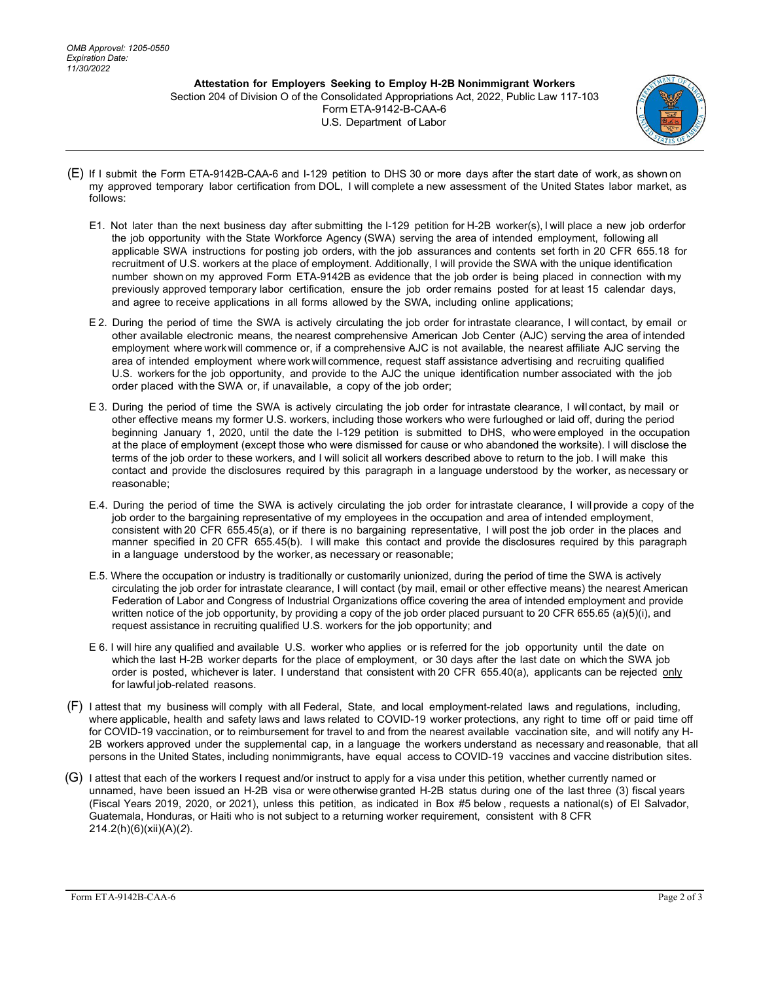**Attestation for Employers Seeking to Employ H-2B Nonimmigrant Workers**  Section 204 of Division O of the Consolidated Appropriations Act, 2022, Public Law 117-103 Form ETA-9142-B-CAA-6 U.S. Department of Labor



- (E) If I submit the Form ETA-9142B-CAA-6 and I-129 petition to DHS 30 or more days after the start date of work, as shown on my approved temporary labor certification from DOL, I will complete a new assessment of the United States labor market, as follows:
	- E1. Not later than the next business day after submitting the I-129 petition for H-2B worker(s), I will place a new job order for the job opportunity with the State Workforce Agency (SWA) serving the area of intended employment, following all applicable SWA instructions for posting job orders, with the job assurances and contents set forth in 20 CFR 655.18 for recruitment of U.S. workers at the place of employment. Additionally, I will provide the SWA with the unique identification number shown on my approved Form ETA-9142B as evidence that the job order is being placed in connection with my previously approved temporary labor certification, ensure the job order remains posted for at least 15 calendar days, and agree to receive applications in all forms allowed by the SWA, including online applications;
	- E 2. During the period of time the SWA is actively circulating the job order for intrastate clearance, I will contact, by email or other available electronic means, the nearest comprehensive American Job Center (AJC) serving the area of intended employment where workwill commence or, if a comprehensive AJC is not available, the nearest affiliate AJC serving the area of intended employment where workwill commence, request staff assistance advertising and recruiting qualified U.S. workers for the job opportunity, and provide to the AJC the unique identification number associated with the job order placed with the SWA or, if unavailable, a copy of the job order;
	- E 3. During the period of time the SWA is actively circulating the job order for intrastate clearance, I will contact, by mail or other effective means my former U.S. workers, including those workers who were furloughed or laid off, during the period beginning January 1, 2020, until the date the I-129 petition is submitted to DHS, who were employed in the occupation at the place of employment (except those who were dismissed for cause or who abandoned the worksite). I will disclose the terms of the job order to these workers, and I will solicit all workers described above to return to the job. I will make this contact and provide the disclosures required by this paragraph in a language understood by the worker, as necessary or reasonable;
	- E.4. During the period of time the SWA is actively circulating the job order for intrastate clearance, I will provide a copy of the job order to the bargaining representative of my employees in the occupation and area of intended employment, consistent with 20 CFR 655.45(a), or if there is no bargaining representative, I will post the job order in the places and manner specified in 20 CFR 655.45(b). I will make this contact and provide the disclosures required by this paragraph in a language understood by the worker, as necessary or reasonable;
	- E.5. Where the occupation or industry is traditionally or customarily unionized, during the period of time the SWA is actively circulating the job order for intrastate clearance, I will contact (by mail, email or other effective means) the nearest American Federation of Labor and Congress of Industrial Organizations office covering the area of intended employment and provide written notice of the job opportunity, by providing a copy of the job order placed pursuant to 20 CFR 655.65 (a)(5)(i), and request assistance in recruiting qualified U.S. workers for the job opportunity; and
	- E 6. I will hire any qualified and available U.S. worker who applies or is referred for the job opportunity until the date on which the last H-2B worker departs for the place of employment, or 30 days after the last date on which the SWA job order is posted, whichever is later. I understand that consistent with 20 CFR 655.40(a), applicants can be rejected only for lawful job-related reasons.
- (F) I attest that my business will comply with all Federal, State, and local employment-related laws and regulations, including, where applicable, health and safety laws and laws related to COVID-19 worker protections, any right to time off or paid time off for COVID-19 vaccination, or to reimbursement for travel to and from the nearest available vaccination site, and will notify any H-2B workers approved under the supplemental cap, in a language the workers understand as necessary and reasonable, that all persons in the United States, including nonimmigrants, have equal access to COVID-19 vaccines and vaccine distribution sites.
- (G) I attest that each of the workers I request and/or instruct to apply for a visa under this petition, whether currently named or unnamed, have been issued an H-2B visa or were otherwise granted H-2B status during one of the last three (3) fiscal years (Fiscal Years 2019, 2020, or 2021), unless this petition, as indicated in Box #5 below , requests a national(s) of El Salvador, Guatemala, Honduras, or Haiti who is not subject to a returning worker requirement, consistent with 8 CFR 214.2(h)(6)(xii)(A)(*2*).